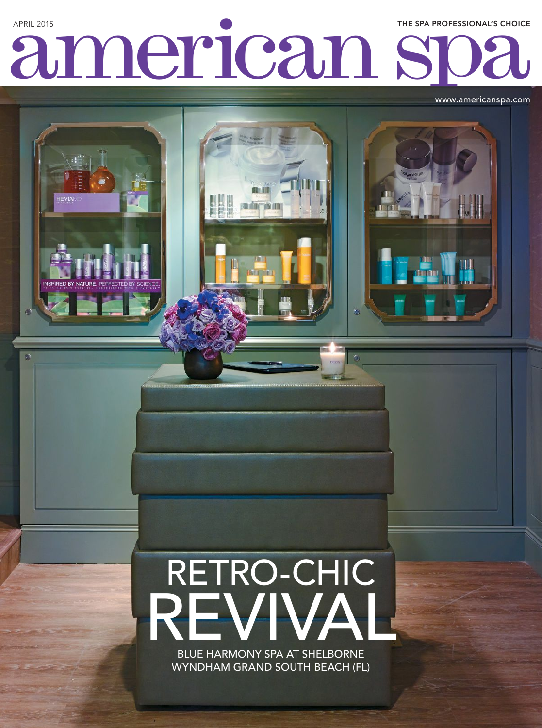## American SOa APRIL 2015 THE SPA PROFESSIONAL'S CHOICE

**Bridder Telleritin** 

G

www.americanspa.com

# REVIVAL RETRO-CHIC

BLUE HARMONY SPA AT SHELBORNE WYNDHAM GRAND SOUTH BEACH (FL)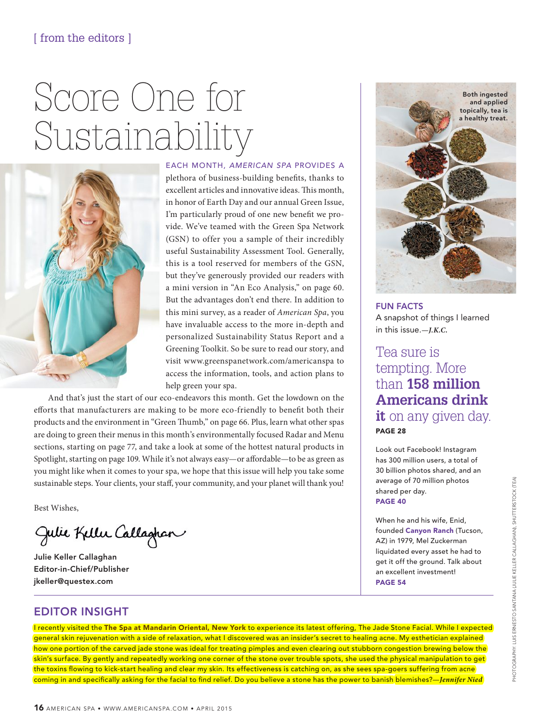### Score One for Sustainability



EACH MONTH, *AMERICAN SPA* PROVIDES A plethora of business-building benefits, thanks to excellent articles and innovative ideas. This month, in honor of Earth Day and our annual Green Issue, I'm particularly proud of one new benefit we provide. We've teamed with the Green Spa Network (GSN) to offer you a sample of their incredibly useful Sustainability Assessment Tool. Generally, this is a tool reserved for members of the GSN, but they've generously provided our readers with a mini version in "An Eco Analysis," on page 60. But the advantages don't end there. In addition to this mini survey, as a reader of *American Spa*, you have invaluable access to the more in-depth and personalized Sustainability Status Report and a Greening Toolkit. So be sure to read our story, and visit [www.greenspanetwork.com/americans](http://www.greenspanetwork.com/american)pa to access the information, tools, and action plans to help green your spa.

And that's just the start of our eco-endeavors this month. Get the lowdown on the efforts that manufacturers are making to be more eco-friendly to benefit both their products and the environment in "Green Thumb," on page 66. Plus, learn what other spas are doing to green their menus in this month's environmentally focused Radar and Menu sections, starting on page 77, and take a look at some of the hottest natural products in Spotlight, starting on page 109. While it's not always easy—or affordable—to be as green as you might like when it comes to your spa, we hope that this issue will help you take some sustainable steps. Your clients, your staff, your community, and your planet will thank you!

Best Wishes,

Julie Keller Callaghan

Julie Keller Callaghan Editor-in-Chief/Publisher jkeller@questex.com

## Both ingested and applied topically, tea is a healthy treat.

FUN FACTS A snapshot of things I learned in this issue.*—J.K.C.*

Tea sure is tempting. More than **158 million Americans drink it** on any given day. PAGE 28

Look out Facebook! Instagram has 300 million users, a total of 30 billion photos shared, and an average of 70 million photos shared per day. PAGE 40

When he and his wife, Enid, founded Canyon Ranch (Tucson, AZ) in 1979, Mel Zuckerman liquidated every asset he had to get it off the ground. Talk about an excellent investment! PAGE 54

#### EDITOR INSIGHT

I recently visited the The Spa at Mandarin Oriental, New York to experience its latest offering, The Jade Stone Facial. While I expected general skin rejuvenation with a side of relaxation, what I discovered was an insider's secret to healing acne. My esthetician explained how one portion of the carved jade stone was ideal for treating pimples and even clearing out stubborn congestion brewing below the skin's surface. By gently and repeatedly working one corner of the stone over trouble spots, she used the physical manipulation to get the toxins flowing to kick-start healing and clear my skin. Its effectiveness is catching on, as she sees spa-goers suffering from acne coming in and specifically asking for the facial to find relief. Do you believe a stone has the power to banish blemishes?*—Jennifer Nied*